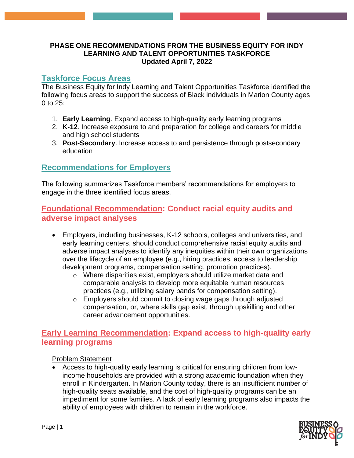#### **PHASE ONE RECOMMENDATIONS FROM THE BUSINESS EQUITY FOR INDY LEARNING AND TALENT OPPORTUNITIES TASKFORCE Updated April 7, 2022**

## **Taskforce Focus Areas**

The Business Equity for Indy Learning and Talent Opportunities Taskforce identified the following focus areas to support the success of Black individuals in Marion County ages 0 to 25:

- 1. **Early Learning**. Expand access to high-quality early learning programs
- 2. **K-12**. Increase exposure to and preparation for college and careers for middle and high school students
- 3. **Post-Secondary**. Increase access to and persistence through postsecondary education

# **Recommendations for Employers**

The following summarizes Taskforce members' recommendations for employers to engage in the three identified focus areas.

## **Foundational Recommendation: Conduct racial equity audits and adverse impact analyses**

- Employers, including businesses, K-12 schools, colleges and universities, and early learning centers, should conduct comprehensive racial equity audits and adverse impact analyses to identify any inequities within their own organizations over the lifecycle of an employee (e.g., hiring practices, access to leadership development programs, compensation setting, promotion practices).
	- o Where disparities exist, employers should utilize market data and comparable analysis to develop more equitable human resources practices (e.g., utilizing salary bands for compensation setting).
	- o Employers should commit to closing wage gaps through adjusted compensation, or, where skills gap exist, through upskilling and other career advancement opportunities.

## **Early Learning Recommendation: Expand access to high-quality early learning programs**

#### Problem Statement

• Access to high-quality early learning is critical for ensuring children from lowincome households are provided with a strong academic foundation when they enroll in Kindergarten. In Marion County today, there is an insufficient number of high-quality seats available, and the cost of high-quality programs can be an impediment for some families. A lack of early learning programs also impacts the ability of employees with children to remain in the workforce.

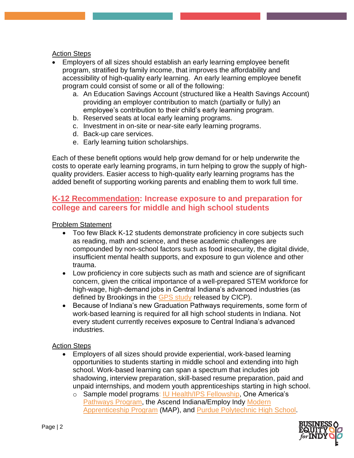#### Action Steps

- Employers of all sizes should establish an early learning employee benefit program, stratified by family income, that improves the affordability and accessibility of high-quality early learning. An early learning employee benefit program could consist of some or all of the following:
	- a. An Education Savings Account (structured like a Health Savings Account) providing an employer contribution to match (partially or fully) an employee's contribution to their child's early learning program.
	- b. Reserved seats at local early learning programs.
	- c. Investment in on-site or near-site early learning programs.
	- d. Back-up care services.
	- e. Early learning tuition scholarships.

Each of these benefit options would help grow demand for or help underwrite the costs to operate early learning programs, in turn helping to grow the supply of highquality providers. Easier access to high-quality early learning programs has the added benefit of supporting working parents and enabling them to work full time.

## **K-12 Recommendation: Increase exposure to and preparation for college and careers for middle and high school students**

#### Problem Statement

- Too few Black K-12 students demonstrate proficiency in core subjects such as reading, math and science, and these academic challenges are compounded by non-school factors such as food insecurity, the digital divide, insufficient mental health supports, and exposure to gun violence and other trauma.
- Low proficiency in core subjects such as math and science are of significant concern, given the critical importance of a well-prepared STEM workforce for high-wage, high-demand jobs in Central Indiana's advanced industries (as defined by Brookings in the **GPS study** released by CICP).
- Because of Indiana's new Graduation Pathways requirements, some form of work-based learning is required for all high school students in Indiana. Not every student currently receives exposure to Central Indiana's advanced industries.

#### Action Steps

- Employers of all sizes should provide experiential, work-based learning opportunities to students starting in middle school and extending into high school. Work-based learning can span a spectrum that includes job shadowing, interview preparation, skill-based resume preparation, paid and unpaid internships, and modern youth apprenticeships starting in high school.
	- o Sample model programs: [IU Health/IPS Fellowship,](https://iuhealth.org/thrive/iu-health-ips-launch-career-development-program-at-crispus-attucks) One America's [Pathways Program,](https://www.oneamerica.com/articles/Community-Pathways-Program) the Ascend Indiana/Employ Indy [Modern](https://indymodernapprenticeship.com/)  [Apprenticeship Program](https://indymodernapprenticeship.com/) (MAP), and [Purdue Polytechnic High School.](https://pphs.purdue.edu/)